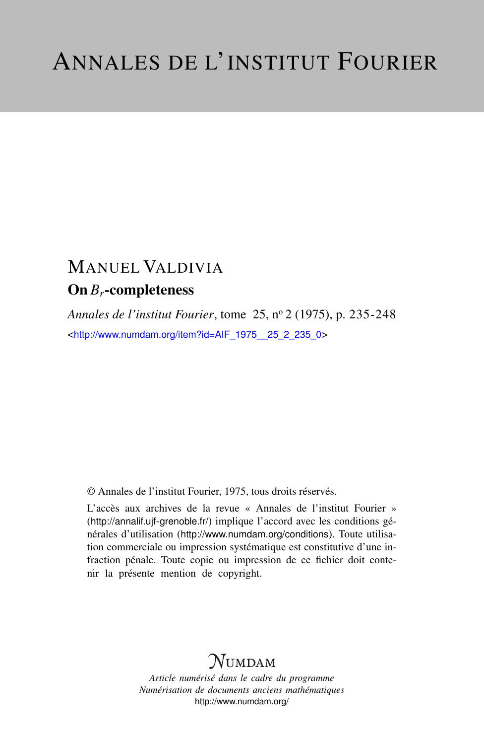# MANUEL VALDIVIA On *Br*-completeness

*Annales de l'institut Fourier*, tome 25, n<sup>o</sup> 2 (1975), p. 235-248 <[http://www.numdam.org/item?id=AIF\\_1975\\_\\_25\\_2\\_235\\_0](http://www.numdam.org/item?id=AIF_1975__25_2_235_0)>

© Annales de l'institut Fourier, 1975, tous droits réservés.

L'accès aux archives de la revue « Annales de l'institut Fourier » (<http://annalif.ujf-grenoble.fr/>) implique l'accord avec les conditions générales d'utilisation (<http://www.numdam.org/conditions>). Toute utilisation commerciale ou impression systématique est constitutive d'une infraction pénale. Toute copie ou impression de ce fichier doit contenir la présente mention de copyright.

# NUMDAM

*Article numérisé dans le cadre du programme Numérisation de documents anciens mathématiques* <http://www.numdam.org/>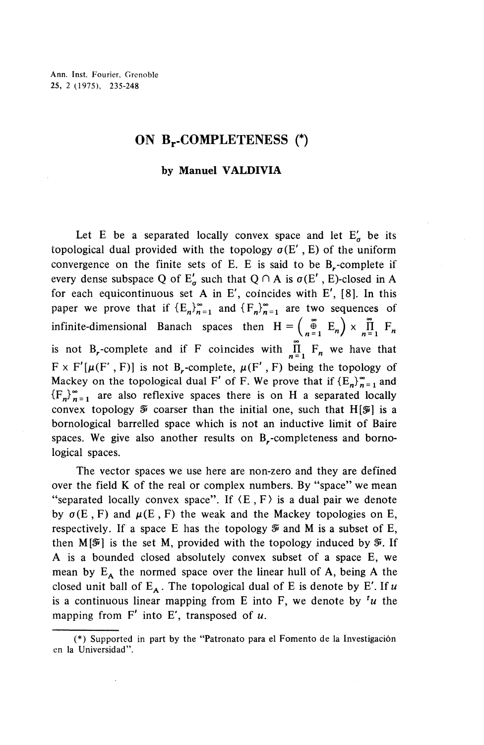Ann. Inst. Fourier, Grenoble 25, 2 (1975), 235-248

## **ON** Br-COMPLETENESS (\*)

### by Manuel VALDIVIA

Let E be a separated locally convex space and let  $E'_n$  be its topological dual provided with the topology  $\sigma(E', E)$  of the uniform convergence on the finite sets of E. E is said to be  $B_r$ -complete if every dense subspace Q of  $E'_{\sigma}$  such that  $Q \cap A$  is  $\sigma(E'$ , E)-closed in A for each equicontinuous set A in E', coincides with E', [8]. In this paper we prove that if  ${E_n}^{\infty}_{n=1}$  and  ${F_n}^{\infty}_{n=1}$  are two sequences of  $\begin{pmatrix} \frac{\infty}{2} & E_n \end{pmatrix} \times \prod_{n=1}^{\infty}$ infinite-dimensional Banach spaces then  $H = \begin{pmatrix} \infty \\ n=1 \end{pmatrix}$   $\times$   $\prod_{n=1}^{\infty}$   $F_n$ is not B<sub>r</sub>-complete and if F coincides with  $\prod_{n=1}^{\infty} F_n$  we have that  $F \times F'[\mu(F', F)]$  is not B<sub>r</sub>-complete,  $\mu(F', F)$  being the topology of Mackey on the topological dual F' of F. We prove that if  ${E_n}^{\infty}_{n=1}$  and  ${F_n}^{\infty}$  are also reflexive spaces there is on H a separated locally convex topology  $\tilde{\mathcal{F}}$  coarser than the initial one, such that H[ $\tilde{\mathcal{F}}$ ] is a bornological barrelled space which is not an inductive limit of Baire spaces. We give also another results on B<sub>r</sub>-completeness and bornological spaces.

The vector spaces we use here are non-zero and they are defined over the field K of the real or complex numbers. By "space" we mean "separated locally convex space". If  $\langle E, F \rangle$  is a dual pair we denote by  $\sigma(E, F)$  and  $\mu(E, F)$  the weak and the Mackey topologies on E, respectively. If a space E has the topology  $\mathcal V$  and M is a subset of E, then  $M[\mathcal{F}]$  is the set M, provided with the topology induced by  $\mathcal{F}$ . If A is a bounded closed absolutely convex subset of a space E, we mean by  $E_A$  the normed space over the linear hull of A, being A the closed unit ball of  $E_A$ . The topological dual of E is denote by E'. If u is a continuous linear mapping from E into F, we denote by  $\mu$  the mapping from F' into E', transposed of *u.*

<sup>(\*)</sup> Supported in part by the "Patronato para el Fomento de la Investigacion en la Universidad".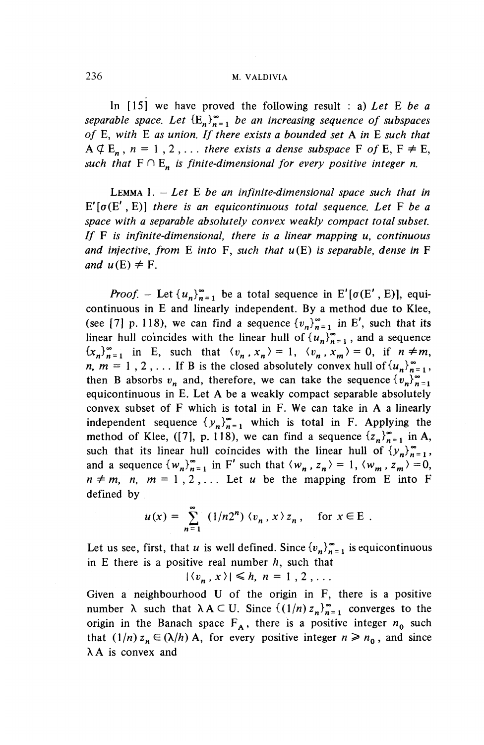## 236 M. VALDIVIA

In [15] we have proved the following result : a) *Let* E *be a separable space. Let*  ${E_n}^{\infty}_{n=1}$  *be an increasing sequence of subspaces of* E, *with* E *as union. If there exists a bounded set* A *in* E *such that*  $A \not\subseteq E_n$ ,  $n = 1, 2, \ldots$  *there exists a dense subspace* F of E, F  $\neq$  E, such that  $F \cap E_n$  is finite-dimensional for every positive integer n.

LEMMA 1. — *Let* E *be an infinite-dimensional space such that in* E'[a(E' , E)] *there is an equicontinuous total sequence. Let* F *be a space with a separable absolutely convex weakly compact total subset. If* F *is infinite-dimensional, there is a linear mapping u, continuous and infective, from* E *into* **F,** *such that u(E) is separable, dense in* F *and*  $u(E) \neq F$ .

*Proof.* – Let  $\{u_n\}_{n=1}^{\infty}$  be a total sequence in E'[ $\sigma(E', E)$ ], equicontinuous in E and linearly independent. By a method due to Klee, (see [7] p. 118), we can find a sequence  ${v_n}_{n=1}^{\infty}$  in E', such that its linear hull coincides with the linear hull of  $\{u_n\}_{n=1}^{\infty}$ , and a sequence  ${x_n}_{n=1}^{\infty}$  in E, such that  $\langle v_n, x_n \rangle = 1$ ,  $\langle v_n, x_m \rangle = 0$ , if  $n \neq m$ , *n, m* = 1, 2,... If B is the closed absolutely convex hull of  $\{u_n\}_{n=1}^{\infty}$ , then B absorbs  $v_n$  and, therefore, we can take the sequence  ${v_n}_{n=1}^{\infty}$ equicontinuous in E. Let A be a weakly compact separable absolutely convex subset of F which is total in F. We can take in A a linearly independent sequence  $\{y_n\}_{n=1}^{\infty}$  which is total in F. Applying the method of Klee, ([7], p. 118), we can find a sequence  $\{z_n\}_{n=1}^{\infty}$  in A, such that its linear hull coincides with the linear hull of  $\{y_n\}_{n=1}^{\infty}$ , and a sequence  $\{w_n\}_{n=1}^{\infty}$  in F' such that  $\langle w_n, z_n \rangle = 1, \langle w_m, z_m \rangle = 0$ ,  $n \neq m$ ,  $n, m = 1, 2, \ldots$  Let *u* be the mapping from E into F defined by

$$
u(x) = \sum_{n=1}^{\infty} (1/n2^n) \langle v_n, x \rangle z_n, \text{ for } x \in E.
$$

Let us see, first, that *u* is well defined. Since  $\{v_n\}_{n=1}^{\infty}$  is equicontinuous in E there is a positive real number *h,* such that

 $|\langle v_n, x \rangle| \leq h, n=1,2,\ldots$ 

Given a neighbourhood U of the origin in F, there is a positive number  $\lambda$  such that  $\lambda A \subset U$ . Since  $\{(1/n) z_n\}_{n=1}^{\infty}$  converges to the origin in the Banach space  $F_A$ , there is a positive integer  $n_0$  such that  $(1/n) z_n \in (\lambda/h)$  A, for every positive integer  $n \ge n_0$ , and since  $\lambda$  A is convex and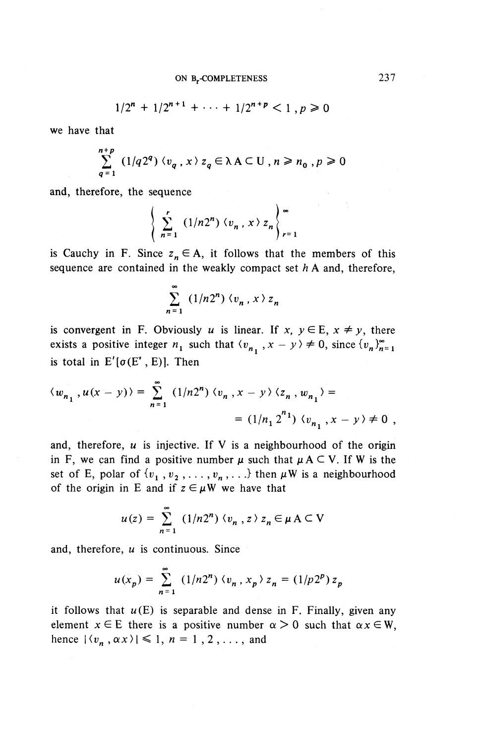$$
1/2^{n} + 1/2^{n+1} + \cdots + 1/2^{n+p} < 1, p \ge 0
$$

we have that

$$
\sum_{q=1}^{n+p} (1/q2^q) \langle v_q, x \rangle z_q \in \lambda A \subset U, n \ge n_0, p \ge 0
$$

and, therefore, the sequence

$$
\left\{\sum_{n=1}^r (1/n2^n) \langle v_n, x \rangle z_n \right\}_{r=1}^{\infty}
$$

is Cauchy in F. Since  $z_n \in A$ , it follows that the members of this sequence are contained in the weakly compact set *h* A and, therefore,

$$
\sum_{n=1}^{\infty} (1/n2^n) \langle v_n, x \rangle z_n
$$

is convergent in F. Obviously *u* is linear. If  $x, y \in E, x \neq y$ , there exists a positive integer  $n_1$  such that  $\langle v_{n_1}, x - y \rangle \neq 0$ , since  $\{v_n\}_{n=1}^{\infty}$ is total in  $E'[\sigma(E', E)]$ . Then

$$
\langle w_{n_1}, u(x - y) \rangle = \sum_{n=1}^{\infty} (1/n2^n) \langle v_n, x - y \rangle \langle z_n, w_{n_1} \rangle =
$$
  
=  $(1/n_1 2^{n_1}) \langle v_{n_1}, x - y \rangle \neq 0$ ,

and, therefore, *u* is injective. If V is a neighbourhood of the origin in F, we can find a positive number  $\mu$  such that  $\mu A \subset V$ . If W is the set of E, polar of  $\{v_1, v_2, \ldots, v_n, \ldots\}$  then  $\mu W$  is a neighbourhood of the origin in E and if  $z \in \mu W$  we have that

$$
u(z) = \sum_{n=1}^{\infty} (1/n2^n) \langle v_n, z \rangle z_n \in \mu \land \subset V
$$

and, therefore, *u* is continuous. Since

$$
u(x_p) = \sum_{n=1}^{\infty} (1/n2^n) \langle v_n, x_p \rangle z_n = (1/p2^p) z_p
$$

it follows that  $u(E)$  is separable and dense in F. Finally, given any element  $x \in E$  there is a positive number  $\alpha > 0$  such that  $\alpha x \in W$ , hence  $|\langle v_n, \alpha x \rangle| \leq 1, n = 1, 2, \dots$ , and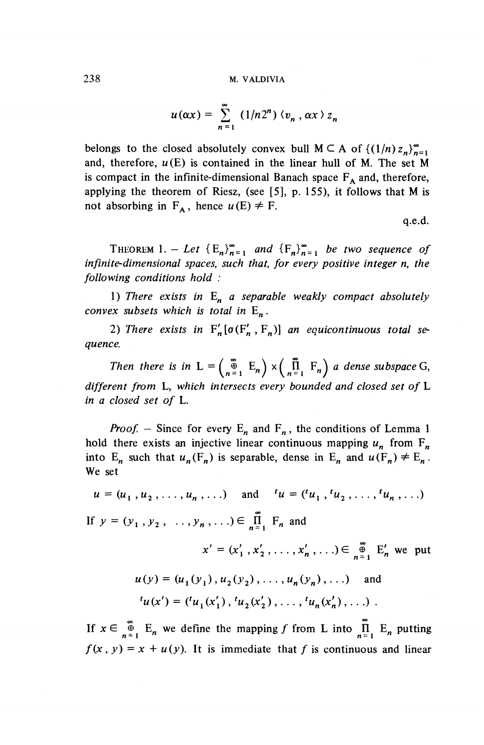$$
u(\alpha x) = \sum_{n=1}^{\infty} (1/n2^n) \langle v_n, \alpha x \rangle z_n
$$

belongs to the closed absolutely convex bull  $M \subset A$  of  $\{(1/n)z_n\}_{n=1}^{\infty}$ and, therefore,  $u(E)$  is contained in the linear hull of M. The set M is compact in the infinite-dimensional Banach space  $F_A$  and, therefore, applying the theorem of Riesz, (see  $[5]$ , p. 155), it follows that M is not absorbing in  $F_A$ , hence  $u(E) \neq F$ .

q.e.d.

THEOREM 1. - Let  ${E_n}_{n=1}^{\infty}$  and  ${F_n}_{n=1}^{\infty}$  be two sequence of *infinite-dimensional spaces, such that, for every positive integer n, the following conditions hold :*

1) *There exists in* E^ *a separable weakly compact absolutely convex subsets which is total in* E^.

2) There exists in  $F'_n[\sigma(F'_n, F_n)]$  an equicontinuous total se*quence.*

*Then there is in*  $L = \begin{pmatrix} \infty \\ n^{\frac{n}{2}} \end{pmatrix} E_n$   $\times \begin{pmatrix} \infty \\ n^{\frac{n}{2}} \end{pmatrix} F_n$  *a dense subspace G, different from* **L,** *which intersects every bounded and closed set of* L *in a closed set of* L.

*Proof.* – Since for every  $E_n$  and  $F_n$ , the conditions of Lemma 1 hold there exists an injective linear continuous mapping  $u_n^{\text{}}$  from  $F_n^{\text{}}$ into  $E_n$  such that  $u_n(F_n)$  is separable, dense in  $E_n$  and  $u(F_n) \neq E_n$ . We set

$$
u = (u_1, u_2, \dots, u_n, \dots)
$$
 and  $u = (u_1, u_2, \dots, u_n, \dots)$ 

If  $y = (y_1, y_2, \ldots, y_n, \ldots) \in \prod_{n=1}^{m} F_n$  and

 $x' = (x'_1, x'_2, \ldots, x'_n, \ldots) \in \mathbb{S}^{\infty}_{n=1}$  E<sub>n</sub> we put

$$
u(y) = (u_1(y_1), u_2(y_2), \dots, u_n(y_n), \dots)
$$
 and  

$$
u(x') = (u_1(x'_1), u_2(x'_2), \dots, u_n(x'_n), \dots).
$$

If  $x \in \int_{n=1}^{\infty} E_n$  we define the mapping f from L into  $\prod_{n=1}^{\infty} E_n$  putting  $f(x, y) = x + u(y)$ . It is immediate that *f* is continuous and linear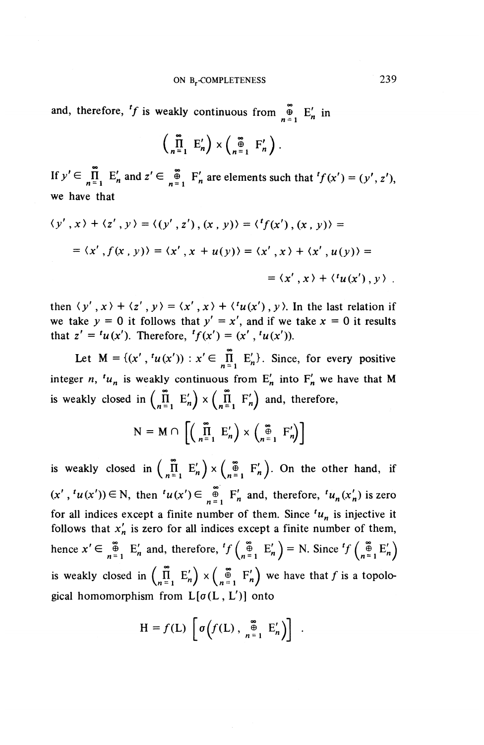and, therefore, <sup>t</sup>f is weakly continuous from  $\bigoplus_{n=1}^{\infty}$  E'<sub>n</sub> in

$$
\left(\prod_{n=1}^{\infty} E'_n\right) \times \left(\bigoplus_{n=1}^{\infty} F'_n\right).
$$

If  $y' \in \prod_{n=1}^{\infty} E'_n$  and  $z' \in \bigoplus_{n=1}^{\infty} F'_n$  are elements such that  ${}^t f(x') = (y', z'),$ we have that

$$
\langle y', x \rangle + \langle z', y \rangle = \langle (y', z'), (x, y) \rangle = \langle f(x'), (x, y) \rangle =
$$
  
=  $\langle x', f(x, y) \rangle = \langle x', x + u(y) \rangle = \langle x', x \rangle + \langle x', u(y) \rangle =$   
=  $\langle x', x \rangle + \langle u(x'), y \rangle$ .

then  $\langle y', x \rangle + \langle z', y \rangle = \langle x', x \rangle + \langle u(x'), y \rangle$ . In the last relation if we take  $y = 0$  it follows that  $y' = x'$ , and if we take  $x = 0$  it results that  $z' = {^t}u(x')$ . Therefore,  ${^t}f(x') = (x', {^t}u(x'))$ .

Let  $M = \{(x', t(u(x')) : x' \in \prod_{n=1}^{\infty} E'_n\}$ . Since, for every positive integer *n*,  $t^u$  is weakly continuous from  $E'_n$  into  $F'_n$  we have that M is weakly closed in  $\begin{pmatrix} \overline{n} & E'_n \end{pmatrix} \times \begin{pmatrix} \overline{n} & F'_n \end{pmatrix}$  and, therefore,

$$
N = M \cap \left[ \left( \prod_{n=1}^{\infty} E'_n \right) \times \left( \prod_{n=1}^{\infty} F'_n \right) \right]
$$

is weakly closed in  $\begin{pmatrix} m \\ n=1 \end{pmatrix}$   $\times$   $\begin{pmatrix} \infty \\ n=1 \end{pmatrix}$ . On the other hand, if  $(x', 'u(x')) \in N$ , then  $'u(x') \in \bigoplus_{n=1}^{\infty} F'_n$  and, therefore,  $'u_n(x'_n)$  is zero for all indices except a finite number of them. Since  $<sup>t</sup>u_n$  is injective it</sup> follows that  $x'_n$  is zero for all indices except a finite number of them, hence  $x' \in \mathbb{R}^8$   $E'_n$  and, therefore,  ${}^t f\left(\mathbb{R}^8 \atop{n=1} E'_n\right) = N$ . Since  ${}^t f\left(\mathbb{R}^8 \atop{n=1} E'_n\right)$ is weakly closed in  $\left(\prod_{n=1}^{\infty} E'_n\right) \times \left(\prod_{n=1}^{\infty} F'_n\right)$  we have that f is a topological homomorphism from  $L[\sigma(L, L')]$  onto

$$
H = f(L) \left[ \sigma \left( f(L) \, , \, \bigoplus_{n=1}^{\infty} E'_n \right) \right] \; .
$$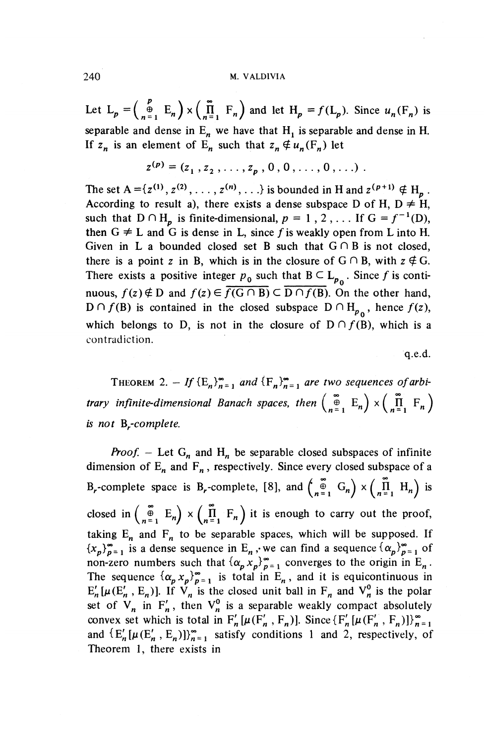#### 240 M. VALD1VIA

Let  $L_p = \begin{pmatrix} p \\ p \end{pmatrix}$   $\times$   $\begin{pmatrix} \tilde{n} \\ n^{\frac{1}{2}} \end{pmatrix}$   $F_n$ ) and let  $H_p = f(L_p)$ . Since  $u_n(F_n)$  is separable and dense in  $E_n$  we have that  $H_1$  is separable and dense in H. If  $z_n$  is an element of  $E_n$  such that  $z_n \notin u_n(F_n)$  let

$$
z^{(p)} = (z_1, z_2, \ldots, z_p, 0, 0, \ldots, 0, \ldots).
$$

The set  $A = \{z^{(1)}, z^{(2)}, \ldots, z^{(n)}, \ldots\}$  is bounded in H and  $z^{(p+1)} \notin H_p$ . According to result a), there exists a dense subspace D of H,  $D \neq H$ , such that  $D \cap H_p$  is finite-dimensional,  $p = 1, 2, \ldots$  If  $G = f^{-1}(D)$ , then  $G \neq L$  and G is dense in L, since f is weakly open from L into H. Given in L a bounded closed set B such that  $G \cap B$  is not closed, there is a point z in B, which is in the closure of  $G \cap B$ , with  $z \notin G$ . There exists a positive integer  $p_0$  such that  $B \subset L_{p_0}$ . Since f is continuous,  $f(z) \notin D$  and  $f(z) \in \overline{f(G \cap B)} \subset \overline{D \cap f(B)}$ . On the other hand,  $D \cap f(B)$  is contained in the closed subspace  $D \cap H_{p_0}$ , hence  $f(z)$ , which belongs to D, is not in the closure of  $D \cap f(B)$ , which is a contradiction.

q.e.d.

THEOREM 2. – If  ${E_n}_{n=1}^{\infty}$  and  ${F_n}_{n=1}^{\infty}$  are two sequences of arbi*trary infinite-dimensional Banach spaces, then*  $\begin{pmatrix} \infty \\ n=1 \end{pmatrix}$   $\times$   $\begin{pmatrix} \widetilde{\Pi} & F_n \\ n=1 \end{pmatrix}$ *is not B^-complete.*

*Proof.* - Let  $G_n$  and  $H_n$  be separable closed subspaces of infinite dimension of  $E_n$  and  $F_n$ , respectively. Since every closed subspace of a B<sub>r</sub>-complete space is B<sub>r</sub>-complete, [8], and  $\begin{pmatrix} \varphi \\ n = 1 \end{pmatrix} G_n$   $\times \begin{pmatrix} \varphi \\ \varphi \\ \varphi \end{pmatrix}$  H<sub>n</sub> is closed in  $\begin{pmatrix} \infty \\ n=1 \end{pmatrix}$   $\times$   $\begin{pmatrix} \infty \\ n=1 \end{pmatrix}$  it is enough to carry out the proof, taking  $E_n$  and  $F_n$  to be separable spaces, which will be supposed. If  ${x_p}^{\infty}_{p=1}$  is a dense sequence in E<sub>n</sub>, we can find a sequence  ${\{\alpha_p\}}_{p=1}^{\infty}$  of non-zero numbers such that  $\{\alpha_p x_p\}_{p=1}^{\infty}$  converges to the origin in E<sub>n</sub>. The sequence  $\{\alpha_p x_p\}_{p=1}^{\infty}$  is total in E<sub>n</sub>, and it is equicontinuous in  $E^{\prime}_n[\mu(E^{\prime}_n , E^{}_{n})]$ . If  $V^{}_{n}$  is the closed unit ball in  $F^{}_{n}$  and  $V^0_{n}$  is the polar set of  $V_n$  in  $F'_n$ , then  $V_n^0$  is a separable weakly compact absolutely convex set which is total in  $F'_n[\mu(F'_n, F_n)]$ . Since  $\{F'_n[\mu(F'_n, F_n)]\}_{n=1}^{\infty}$ and  $\{E^{\prime}_n[\mu(E^{\prime}_n , E^{}_{n})]\}_{n=1}^{\infty}$  satisfy conditions 1 and 2, respectively, of Theorem 1, there exists in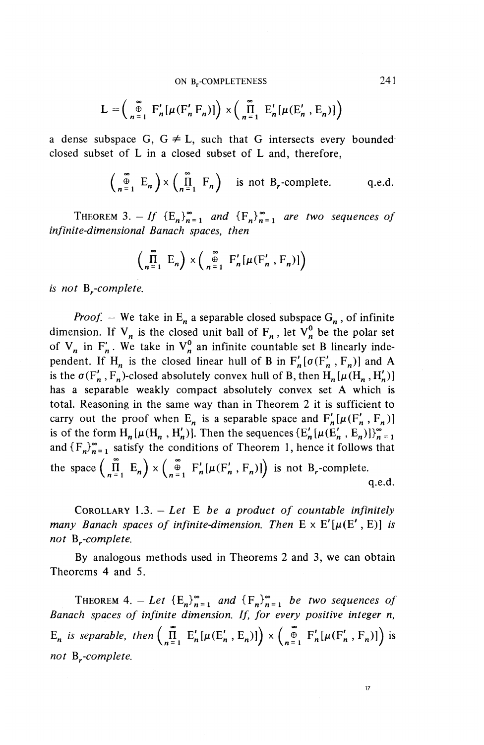ON B-COMPLETENESS 241

$$
L = \left(\begin{array}{c}\n\infty \\
n=1\n\end{array} F'_n[\mu(F'_n F_n)]\right) \times \left(\begin{array}{c}\n\infty \\
\prod_{n=1}^{n} E'_n[\mu(E'_n, E_n)]\n\end{array}\right)
$$

a dense subspace G,  $G \neq L$ , such that G intersects every bounded closed subset of L in a closed subset of L and, therefore,

$$
\begin{pmatrix} \infty \\ n=1 \end{pmatrix} \times \begin{pmatrix} \infty \\ \prod_{n=1}^{m} F_n \end{pmatrix}
$$
 is not B<sub>r</sub>-complete. q.e.d.

THEOREM 3. - If  ${E_n}^{\infty}$  and  ${F_n}^{\infty}$  are two sequences of *infinite-dimensional Banach spaces, then*

$$
\left(\prod_{n=1}^{\infty} E_n\right) \times \left(\bigoplus_{n=1}^{\infty} F'_n[\mu(F'_n, F_n)]\right)
$$

*is not By-complete.*

*Proof.* – We take in  $E_n$  a separable closed subspace  $G_n$ , of infinite dimension. If  $V_n$  is the closed unit ball of  $F_n$ , let  $V_n^0$  be the polar set of  $V_n$  in  $F'_n$ . We take in  $V_n^0$  an infinite countable set B linearly independent. If H<sub>n</sub> is the closed linear hull of B in  $F^{\prime}_n[\sigma(F^{\prime}_n, F^{\prime}_n)]$  and A is the  $\sigma(F^{\prime}_n, F^{\prime}_n)$ -closed absolutely convex hull of B, then  $H^{\prime}_n(\mu(H^{\prime}_n, H^{\prime}_n))$ has a separable weakly compact absolutely convex set A which is total. Reasoning in the same way than in Theorem 2 it is sufficient to carry out the proof when  $E_n$  is a separable space and  $F'_n[\mu(F'_n, F_n)]$ is of the form  $H_n[\mu(H_n, H'_n)]$ . Then the sequences  ${E'_n}[\mu(E'_n, E_n)]_{n=1}^{\infty}$ and  $\{F_n\}_{n=1}^{\infty}$  satisfy the conditions of Theorem 1, hence it follows that the space  $\left(\prod_{n=1}^{\infty} E_n\right) \times \left(\prod_{n=1}^{\infty} F'_n[\mu(F'_n, F_n)]\right)$  is not B<sub>r</sub>-complete. q.e.d.

COROLLARY 1.3. — *Let* E *be a product of countable infinitely many Banach spaces of infinite-dimension. Then*  $E \times E'[\mu(E', E)]$  *is not By-complete.*

By analogous methods used in Theorems 2 and 3, we can obtain Theorems 4 and 5.

THEOREM 4. - Let  ${E_n}^{\infty}_{n=1}$  and  ${F_n}^{\infty}_{n=1}$  be two sequences of *Banach spaces of infinite dimension. If, for every positive integer n,*  $E_n$  is separable, then  $\left(\prod_{n=1}^{\infty} E'_n[\mu(E'_n, E_n)]\right) \times \left(\prod_{n=1}^{\infty} F'_n[\mu(F'_n, F_n)]\right)$  is *not* B<sub>r</sub>-complete.

 $17$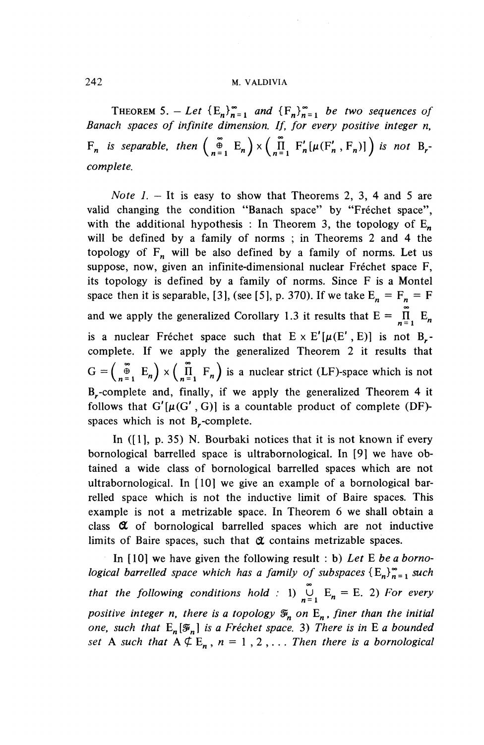### 242 **M. VALDIVIA**

THEOREM 5. - Let  ${E_n}_{n=1}^{\infty}$  and  ${F_n}_{n=1}^{\infty}$  be two sequences of *Banach spaces of infinite dimension. If, for every positive integer n,*  $F_n$  is separable, then  $\begin{pmatrix} \infty \\ -\frac{1}{n} \end{pmatrix}$   $\times$   $\begin{pmatrix} \infty \\ \prod_{i=1}^{n} F'_n[\mu(F'_n, F_n)] \end{pmatrix}$  is not B, *complete.*

*Note 1. -* It is easy to show that Theorems 2, 3, 4 and 5 are valid changing the condition "Banach space" by "Fréchet space", with the additional hypothesis : In Theorem 3, the topology of  $E_n$ will be defined by a family of norms ; in Theorems 2 and 4 the topology of  $F_n$  will be also defined by a family of norms. Let us suppose, now, given an infinite-dimensional nuclear Fréchet space F, its topology is defined by a family of norms. Since F is a Montel space then it is separable, [3], (see [5], p. 370). If we take  $E_n = F_n = F$ and we apply the generalized Corollary 1.3 it results that  $E = \prod_{i=1}^{n} E_i$ is a nuclear Fréchet space such that  $E \times E'[\mu(E', E)]$  is not B<sub>r</sub>complete. If we apply the generalized Theorem 2 it results that  $G = \begin{pmatrix} \infty \\ n=1 \end{pmatrix}$   $\times$   $\begin{pmatrix} \widehat{\Pi} \\ n=1 \end{pmatrix}$  F<sub>n</sub> is a nuclear strict (LF)-space which is B<sub>r</sub>-complete and, finally, if we apply the generalized Theorem 4 it follows that  $G'[\mu(G', G)]$  is a countable product of complete (DF)spaces which is not B,-complete.

In ([I], p. 35) N. Bourbaki notices that it is not known if every bornological barrelled space is ultrabornological. In [9] we have obtained a wide class of bornological barrelled spaces which are not ultrabornological. In [10] we give an example of a bornological barrelled space which is not the inductive limit of Baire spaces. This example is not a metrizable space. In Theorem 6 we shall obtain a class *QL* of bornological barrelled spaces which are not inductive limits of Baire spaces, such that *QL* contains metrizable spaces.

In [10] we have given the following result : b) *Let E be a bornological barrelled space which has a family of subspaces*  $\{E_n\}_{n=1}^{\infty}$  *such that the following conditions hold* : 1)  $\overline{U}$  E<sub>n</sub> = E. 2) *For ever positive integer n, there is a topology*  $\mathfrak{F}_n$  on  $E_n$ *, finer than the initial one, such that*  $E_n[\mathcal{F}_n]$  *is a Fréchet space.* 3) There is in E a bounded *set* A such that  $A \not\subseteq E_n$ ,  $n = 1, 2, \ldots$  *Then there is a bornological*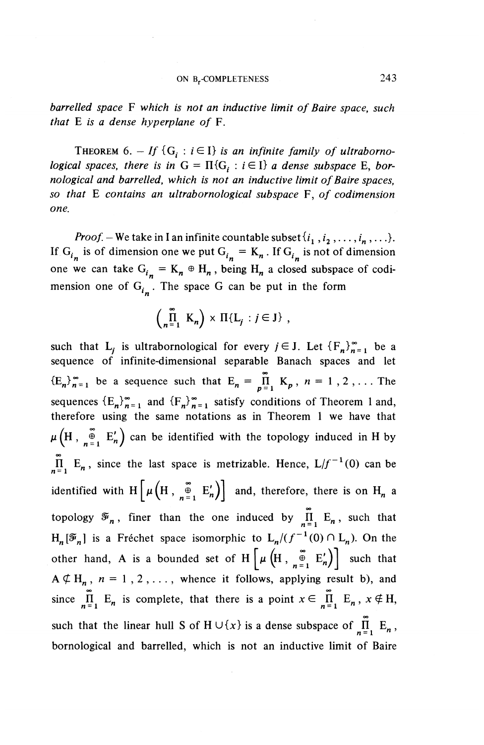*barrelled space* F *which is not an inductive limit of Baire space, such that* E *is a dense hyperplane of* F.

THEOREM 6.  $-If$  {G<sub>i</sub>:  $i \in I$ } is an infinite family of ultraborno*logical spaces, there is in*  $G = \Pi \{G_i : i \in I\}$  *a dense subspace* E, *bornological and barrelled, which is not an inductive limit of Baire spaces, so that* E *contains an ultrabornological subspace* F, *of codimension one.*

*Proof.* – We take in I an infinite countable subset  $\{i_1^-, i_2^-, \ldots, i_n^-, \ldots\}$ . If  $G_{i_n}$  is of dimension one we put  $G_{i_n} = K_n$ . If  $G_{i_n}$  is not of dimension one we can take  $G_{i_n} = K_n \oplus H_n$ , being  $H_n$  a closed subspace of codimension one of  $G_{i_n}$ . The space G can be put in the form

$$
\left(\prod_{n=1}^{\infty} K_n\right) \times \Pi\{L_j : j \in J\},\,
$$

such that  $L_i$  is ultrabornological for every  $j \in J$ . Let  ${F_n}^{\infty}_{n=1}$  be a sequence of infinite-dimensional separable Banach spaces and let  $(E_n)_{n=1}^{\infty}$  be a sequence such that  $E_n = \prod_{p=1}^{\infty} K_p$ ,  $n = 1, 2, ...$  The sequences  ${E_n}^{\infty}{}_{n=1}^{\infty}$  and  ${F_n}^{\infty}{}_{n=1}^{\infty}$  satisfy conditions of Theorem 1 and, therefore using the same notations as in Theorem 1 we have that  $\mu\left(H \, , \, \begin{smallmatrix} \widetilde{\oplus} \\ n=1 \end{smallmatrix} \, E'_n \right)$  can be identified with the topology induced in H by  $\prod_{n=1}^{\infty}$  E<sub>n</sub>, since the last space is metrizable. Hence,  $L/f^{-1}(0)$  can be identified with H  $\left[\mu\left(H, \frac{\omega}{n+1} E_n'\right)\right]$  and, therefore, there is on H<sub>n</sub> a topology  $\mathcal{F}_n$ , finer than the one induced by  $\prod_{n=1}^{\infty} E_n$ , such that  $H_n[\mathcal{F}_n]$  is a Fréchet space isomorphic to  $L_n/(f^{-1}(0) \cap L_n)$ . On the other hand, A is a bounded set of H  $\left[\mu\left(H, \frac{\omega}{n+1} E'_n\right)\right]$  such that  $A \nsubseteq H_n$ ,  $n = 1, 2, \ldots$ , whence it follows, applying result b), and since  $\prod_{n=1}^{\infty} E_n$  is complete, that there is a point  $x \in \prod_{n=1}^{\infty} E_n$ ,  $x \notin H$ , such that the linear hull S of  $H \cup \{x\}$  is a dense subspace of  $\prod_{n=1}^{m}$  E bornological and barrelled, which is not an inductive limit of Baire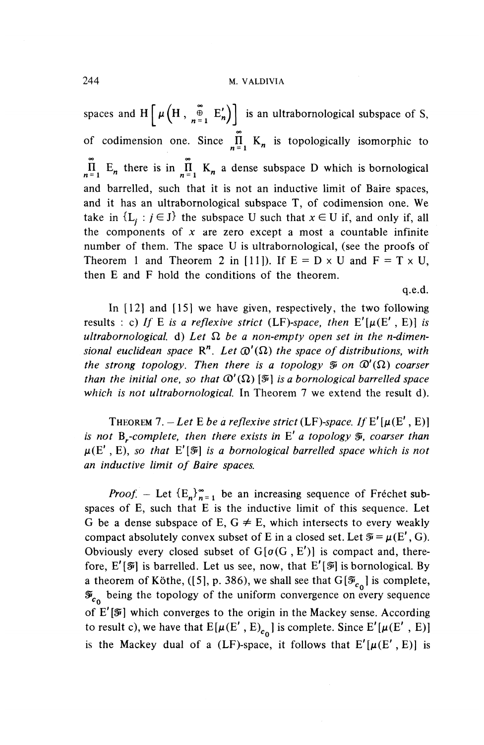spaces and H  $\left[\mu\left(H, \frac{\omega}{n-1} E^{\prime}_{n}\right)\right]$  is an ultrabornological subspace of S, of codimension one. Since  $\tilde{\Pi}$  K<sub>n</sub> is topologically isomorphic to  $\overline{\mathbf{n}}$  E<sub>n</sub> there is in  $\overline{\mathbf{n}}$  K<sub>n</sub> a dense subspace D which is bornological and barrelled, such that it is not an inductive limit of Baire spaces, and it has an ultrabornological subspace T, of codimension one. We take in  $\{L_i : j \in J\}$  the subspace U such that  $x \in U$  if, and only if, all the components of *x* are zero except a most a countable infinite number of them. The space U is ultrabornological, (see the proofs of Theorem 1 and Theorem 2 in [11]). If  $E = D \times U$  and  $F = T \times U$ , then E and F hold the conditions of the theorem.

q.e.d.

In [12] and [15] we have given, respectively, the two following results : c) If E is a reflexive strict (LF)-space, then  $E'[\mu(E', E)]$  is  $u$ ltrabornological. d) Let  $\Omega$  be a non-empty open set in the n-dimen*sional euclidean space*  $\mathbb{R}^n$ . Let  $\mathbb{Q}'(\Omega)$  the space of distributions, with *the strong topology. Then there is a topology*  $\widetilde{\mathcal{P}}$  *on*  $\mathcal{D}'(\Omega)$  *coarser than the initial one, so that*  $\mathcal{O}'(\Omega)$  [ $\mathcal{F}'$ ] *is a bornological barrelled space which is not ultrabornological.* In Theorem 7 we extend the result d).

THEOREM 7.  $-Let E$  be a reflexive strict (LF)-space. If E'[ $\mu(E', E)$ ] *is not*  $B_r$ -complete, then there exists in  $E'$  a topology  $\tilde{\mathfrak{g}}$ , coarser than  $\mu(E', E)$ , so that  $E'[\mathcal{F}]$  is a bornological barrelled space which is not *an inductive limit of Baire spaces.*

*Proof.* – Let  ${E_n}_{n=1}^{\infty}$  be an increasing sequence of Frechet subspaces of E, such that E is the inductive limit of this sequence. Let G be a dense subspace of E,  $G \neq E$ , which intersects to every weakly compact absolutely convex subset of E in a closed set. Let  $\mathcal{F} = \mu(E', G)$ . Obviously every closed subset of  $G[\sigma(G, E')]$  is compact and, therefore,  $E'[\mathcal{F}]$  is barrelled. Let us see, now, that  $E'[\mathcal{F}]$  is bornological. By a theorem of Köthe, ([5], p. 386), we shall see that  $G[\mathcal{F}_{c_0}]$  is complete,  $\mathcal{F}_{c_0}$  being the topology of the uniform convergence on every sequence of *E'[Si]* which converges to the origin in the Mackey sense. According to result c), we have that  $E[\mu(E', E)_{c_0}]$  is complete. Since  $E'[\mu(E', E)]$ is the Mackey dual of a (LF)-space, it follows that  $E'[\mu(E', E)]$  is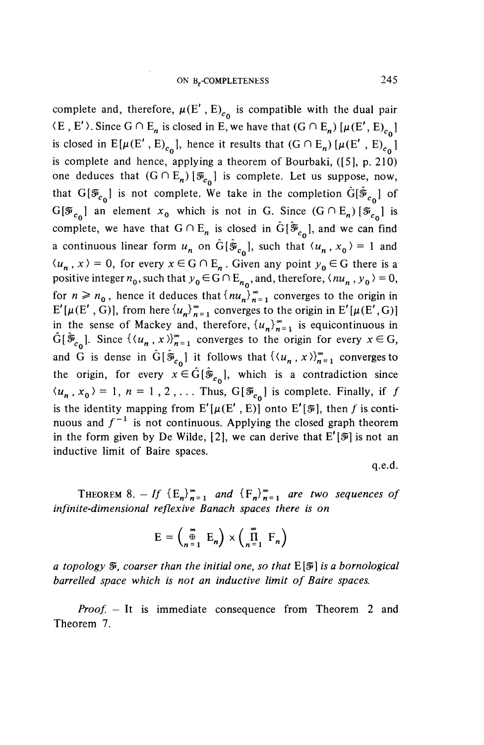complete and, therefore,  $\mu(E', E)_{c_0}$  is compatible with the dual pair  $(E, E')$ . Since  $G \cap E_n$  is closed in E, we have that  $(G \cap E_n) [\mu(E', E)_{c_0}]$ is closed in  $E[\mu(E', E)_{c_0}]$ , hence it results that  $(G \cap E_n) [\mu(E', E)_{c_0}]$ is complete and hence, applying a theorem of Bourbaki, ([5], p. 210) one deduces that  $(G \cap E_n) [\mathcal{F}_{c_0}]$  is complete. Let us suppose, now, that  $G[\mathcal{F}_{c_{\alpha}}]$  is not complete. We take in the completion  $G[\mathcal{\tilde{F}}_{c_{\alpha}}]$  of  $G[\overline{\mathcal{F}}_{c_0}]$  an element  $x_0$  which is not in G. Since  $(G \cap E_n) [\overline{\mathcal{F}}_{c_0}]$  is complete, we have that  $G \cap E_n$  is closed in  $\hat{G}[\tilde{\mathcal{F}}_{c_n}]$ , and we can find a continuous linear form  $u_n$  on  $\hat{G}[\hat{\mathcal{F}}_{c_n}]$ , such that  $\langle u_n, x_0 \rangle = 1$  and  $\langle u_n, x \rangle = 0$ , for every  $x \in G \cap E_n$ . Given any point  $y_0 \in G$  there is a positive integer  $n_0$ , such that  $y_0 \in G \cap E_{n_0}$ , and, therefore,  $\langle n u_n, y_0 \rangle = 0$ , for  $n \ge n_0$ , hence it deduces that  $\{nu_n\}_{n=1}^{\infty}$  converges to the origin in  $E'[\mu(E', G)]$ , from here  ${u_n}_n^*_{n=1}^{\infty}$  converges to the origin in  $E'[\mu(E', G)]$ in the sense of Mackey and, therefore,  $\{u_n\}_{n=1}^{\infty}$  is equicontinuous in  $\hat{G}[\tilde{\mathcal{F}}_{c_0}]$ . Since  $\{(u_n, x)\}_{n=1}^{\infty}$  converges to the origin for every  $x \in G$ , and G is dense in  $\hat{G}[\hat{\mathcal{F}}_{c_0}]$  it follows that  $\{\langle u_n, x \rangle\}_{n=1}^{\infty}$  converges to the origin, for every  $x \in \hat{G} [\hat{\mathcal{F}}_{c_n}]$ , which is a contradiction since  $\langle u_n, x_0 \rangle = 1, n = 1, 2, \dots$  Thus,  $G[\mathcal{F}_{c_0}]$  is complete. Finally, if f is the identity mapping from  $E'[\mu(E', E)]$  onto  $E'[\bar{\mathcal{F}}]$ , then *f* is continuous and  $f^{-1}$  is not continuous. Applying the closed graph theorem in the form given by **De** Wilde, [2], we can derive that E'[^] is not an inductive limit of Baire spaces.

q.e.d.

THEOREM 8. - If  ${E_n}_{n=1}^{\infty}$  and  ${F_n}_{n=1}^{\infty}$  are two sequences of *infinite-dimensional reflexive Banach spaces there is on*

$$
E = \begin{pmatrix} \infty \\ \oplus \\ n = 1 \end{pmatrix} \times \begin{pmatrix} \infty \\ \prod_{n = 1}^{\infty} F_n \end{pmatrix}
$$

*a topology*  $\tilde{x}$ , *coarser than the initial one, so that*  $E[\tilde{x}]$  *is a bornological barrelled space which is not an inductive limit of Baire spaces.*

*Proof. -* It is immediate consequence from Theorem 2 and Theorem 7.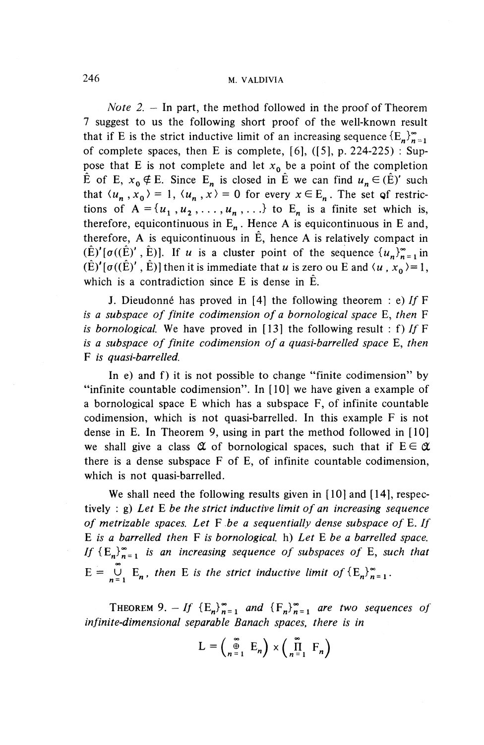*Note* 2. — In part, the method followed in the proof of Theorem 7 suggest to us the following short proof of the well-known result that if E is the strict inductive limit of an increasing sequence  $\{E_n\}_{n=1}^{\infty}$ of complete spaces, then E is complete,  $[6]$ ,  $([5]$ ,  $p. 224-225)$ : Suppose that E is not complete and let  $x_0$  be a point of the completion E of E,  $x_0 \notin E$ . Since E<sub>n</sub> is closed in E we can find  $u_n \in (\hat{E})'$  such that  $\langle u_n, x_0 \rangle = 1$ ,  $\langle u_n, x \rangle = 0$  for every  $x \in E_n$ . The set of restrictions of  $A = \{u_1, u_2, \ldots, u_n, \ldots\}$  to E<sub>n</sub> is a finite set which is, therefore, equicontinuous in  $E_n$ . Hence A is equicontinuous in E and, therefore, A is equicontinuous in  $\hat{E}$ , hence A is relatively compact in  $(\hat{E})'[\sigma((\hat{E})', \hat{E})]$ . If *u* is a cluster point of the sequence  $\{u_n\}_{n=1}^{\infty}$  in  $(\hat{E})'[\sigma((\hat{E})', \hat{E})]$  then it is immediate that *u* is zero ou E and  $\langle u, x_0 \rangle = 1$ , which is a contradiction since E is dense in E.

J. Dieudonné has proved in [4] the following theorem : e) If  $F$ *is a subspace of finite codimension of a bornological space* E, *then* F *is bornological.* We have proved in [13] the following result : f) If  $F$ *is a subspace of finite codimension of a quasi-barrelled space* E, *then* F *is quasi-barrelled.*

In e) and f) it is not possible to change "finite codimension" by "infinite countable codimension". In [10] we have given a example of a bornological space E which has a subspace F, of infinite countable codimension, which is not quasi-barrelled. In this example F is not dense in E. In Theorem 9, using in part the method followed in [10] we shall give a class  $\alpha$  of bornological spaces, such that if  $E \in \alpha$ there is a dense subspace F of E, of infinite countable codimension, which is not quasi-barrelled.

We shall need the following results given in [10] and [14], respectively : g) *Let* E *be the strict inductive limit of an increasing sequence of metrizable spaces. Let* F *-be a sequentially dense subspace of* E. // E *is a barrelled then* F *is bornological.* h) *Let* E *be a barrelled space. If*  ${E_n}^{\infty}$ <sup>*n*</sup> *is an increasing sequence of subspaces of* E, *such that*  $E = \bigcup_{n=1}^{\infty} E_n$ , then E is the strict inductive limit of  ${E_n}^{\infty}_{n=1}$ .

THEOREM 9.  $-If \{E^{\ }_{n}\}_{n=1}^{\infty}$  and  $\{F^{\ }_{n}\}_{n=1}^{\infty}$  are two sequences of *infinite-dimensional separable Banach spaces, there is in*

$$
L = \begin{pmatrix} \sum_{n=1}^{\infty} E_n \end{pmatrix} \times \begin{pmatrix} \sum_{n=1}^{\infty} F_n \end{pmatrix}
$$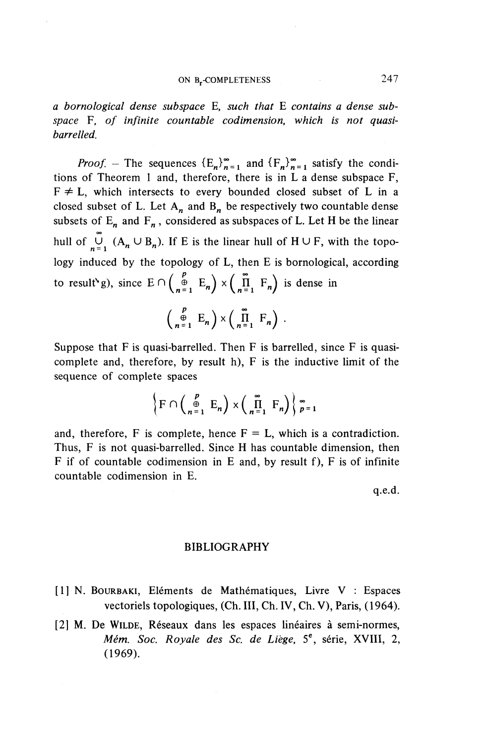*a bornological dense subspace* E, *such that* E *contains a dense sub*space F, of infinite countable codimension, which is not quasi*barrelled.*

*Proof.* – The sequences  ${E_n}_{n=1}^{\infty}$  and  ${F_n}_{n=1}^{\infty}$  satisfy the conditions of Theorem 1 and, therefore, there is in L a dense subspace F,  $F \neq L$ , which intersects to every bounded closed subset of L in a closed subset of L. Let  $A_n$  and  $B_n$  be respectively two countable dense subsets of  $E_n$  and  $F_n$ , considered as subspaces of L. Let H be the linear **00** hull of  $\bigcup_{n=1}^{\infty} (A_n \cup B_n)$ . If E is the linear hull of  $H \cup F$ , with the topology induced by the topology of L, then E is bornological, according to result<sup>\*</sup>g), since  $E \cap \left(\begin{matrix} p \ p \ \pi-1 \end{matrix} E_n \right) \times \left(\begin{matrix} \overline{n} \ \overline{n}-F_n \end{matrix} \right)$  is dense in

$$
\begin{pmatrix} P \\ \oplus \\ n=1 \end{pmatrix} \times \begin{pmatrix} \infty \\ \prod_{n=1}^{\infty} F_n \end{pmatrix} .
$$

Suppose that  $F$  is quasi-barrelled. Then  $F$  is barrelled, since  $F$  is quasicomplete and, therefore, by result h), F is the inductive limit of the sequence of complete spaces

$$
\left\{\mathrm{F}\cap\left(\begin{array}{cc}p\\ \oplus\\ n=1\end{array}\mathrm{E}_n\right)\times\left(\begin{array}{cc}\text{m}\\ \Pi\\ n=1\end{array}\mathrm{F}_n\right)\right\}_{p=1}^{\infty}
$$

and, therefore, F is complete, hence  $F = L$ , which is a contradiction. Thus, F is not quasi-barrelled. Since H has countable dimension, then F if of countable codimension in E and, by result f), F is of infinite countable codimension in E.

q.e.d.

#### BIBLIOGRAPHY

- [1] N. BOURBAKI, Eléments de Mathématiques, Livre V : Espaces vectoriels topologiques, (Ch. Ill, Ch. IV, Ch. V), Paris, (1964).
- [2] M. De WILDE, Réseaux dans les espaces linéaires à semi-normes, *Mem. Soc. Royale des Sc. de Liege,* 5°, serie, XVIII, 2, (1969).